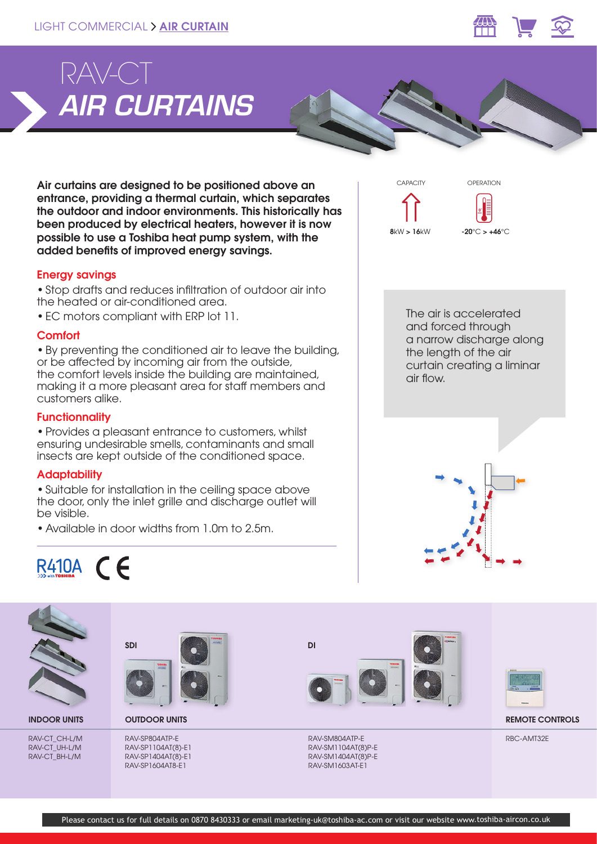

# *AIR CURTAINS* RAV-CT

Air curtains are designed to be positioned above an entrance, providing a thermal curtain, which separates the outdoor and indoor environments. This historically has been produced by electrical heaters, however it is now possible to use a Toshiba heat pump system, with the added benefits of improved energy savings.

# Energy savings

• Stop drafts and reduces infiltration of outdoor air into the heated or air-conditioned area.

• EC motors compliant with ERP lot 11.

## **Comfort**

• By preventing the conditioned air to leave the building, or be affected by incoming air from the outside, the comfort levels inside the building are maintained, making it a more pleasant area for staff members and customers alike.

# **Functionnality**

• Provides a pleasant entrance to customers, whilst ensuring undesirable smells, contaminants and small insects are kept outside of the conditioned space.

## **Adaptability**

• Suitable for installation in the ceiling space above the door, only the inlet grille and discharge outlet will be visible.

• Available in door widths from 1.0m to 2.5m.



OPERATION

CAPACITY





RAV-CT\_CH-L/M RAV-CT\_UH-L/M RAV-CT\_BH-L/M



RAV-SP804ATP-E RAV-SP1104AT(8)-E1 RAV-SP1404AT(8)-E1 RAV-SP1604AT8-E1







INDOOR UNITS OUTDOOR UNITS REMOTE CONTROLS

RBC-AMT32E